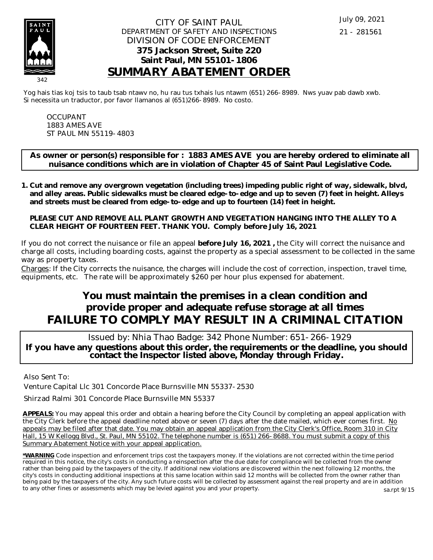

#### CITY OF SAINT PAUL DEPARTMENT OF SAFETY AND INSPECTIONS DIVISION OF CODE ENFORCEMENT **375 Jackson Street, Suite 220 Saint Paul, MN 55101-1806 SUMMARY ABATEMENT ORDER**

Yog hais tias koj tsis to taub tsab ntawv no, hu rau tus txhais lus ntawm (651) 266-8989. Nws yuav pab dawb xwb. Si necessita un traductor, por favor llamanos al (651)266-8989. No costo.

OCCUPANT 1883 AMES AVE ST PAUL MN 55119-4803

**As owner or person(s) responsible for : 1883 AMES AVE you are hereby ordered to eliminate all nuisance conditions which are in violation of Chapter 45 of Saint Paul Legislative Code.**

**Cut and remove any overgrown vegetation (including trees) impeding public right of way, sidewalk, blvd, 1. and alley areas. Public sidewalks must be cleared edge-to-edge and up to seven (7) feet in height. Alleys and streets must be cleared from edge-to-edge and up to fourteen (14) feet in height.** 

**PLEASE CUT AND REMOVE ALL PLANT GROWTH AND VEGETATION HANGING INTO THE ALLEY TO A CLEAR HEIGHT OF FOURTEEN FEET. THANK YOU. Comply before July 16, 2021**

If you do not correct the nuisance or file an appeal **before July 16, 2021 ,** the City will correct the nuisance and charge all costs, including boarding costs, against the property as a special assessment to be collected in the same way as property taxes.

Charges: If the City corrects the nuisance, the charges will include the cost of correction, inspection, travel time, equipments, etc. The rate will be approximately \$260 per hour plus expensed for abatement.

# **You must maintain the premises in a clean condition and provide proper and adequate refuse storage at all times FAILURE TO COMPLY MAY RESULT IN A CRIMINAL CITATION**

 Issued by: Nhia Thao Badge: 342 Phone Number: 651-266-1929 **If you have any questions about this order, the requirements or the deadline, you should contact the Inspector listed above, Monday through Friday.**

Also Sent To:

Venture Capital Llc 301 Concorde Place Burnsville MN 55337-2530

Shirzad Ralmi 301 Concorde Place Burnsville MN 55337

**APPEALS:** You may appeal this order and obtain a hearing before the City Council by completing an appeal application with the City Clerk before the appeal deadline noted above or seven (7) days after the date mailed, which ever comes first. No appeals may be filed after that date. You may obtain an appeal application from the City Clerk's Office, Room 310 in City Hall, 15 W Kellogg Blvd., St. Paul, MN 55102. The telephone number is (651) 266-8688. You must submit a copy of this Summary Abatement Notice with your appeal application.

**\*WARNING** Code inspection and enforcement trips cost the taxpayers money. If the violations are not corrected within the time period required in this notice, the city's costs in conducting a reinspection after the due date for compliance will be collected from the owner rather than being paid by the taxpayers of the city. If additional new violations are discovered within the next following 12 months, the city's costs in conducting additional inspections at this same location within said 12 months will be collected from the owner rather than being paid by the taxpayers of the city. Any such future costs will be collected by assessment against the real property and are in addition to any other fines or assessments which may be levied against you and your property. sa.rpt 9/15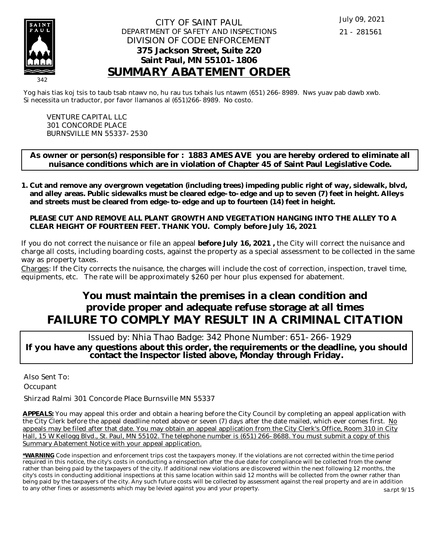

#### CITY OF SAINT PAUL DEPARTMENT OF SAFETY AND INSPECTIONS DIVISION OF CODE ENFORCEMENT **375 Jackson Street, Suite 220 Saint Paul, MN 55101-1806 SUMMARY ABATEMENT ORDER**

Yog hais tias koj tsis to taub tsab ntawv no, hu rau tus txhais lus ntawm (651) 266-8989. Nws yuav pab dawb xwb. Si necessita un traductor, por favor llamanos al (651)266-8989. No costo.

VENTURE CAPITAL LLC 301 CONCORDE PLACE BURNSVILLE MN 55337-2530

**As owner or person(s) responsible for : 1883 AMES AVE you are hereby ordered to eliminate all nuisance conditions which are in violation of Chapter 45 of Saint Paul Legislative Code.**

**Cut and remove any overgrown vegetation (including trees) impeding public right of way, sidewalk, blvd, 1. and alley areas. Public sidewalks must be cleared edge-to-edge and up to seven (7) feet in height. Alleys and streets must be cleared from edge-to-edge and up to fourteen (14) feet in height.** 

**PLEASE CUT AND REMOVE ALL PLANT GROWTH AND VEGETATION HANGING INTO THE ALLEY TO A CLEAR HEIGHT OF FOURTEEN FEET. THANK YOU. Comply before July 16, 2021**

If you do not correct the nuisance or file an appeal **before July 16, 2021 ,** the City will correct the nuisance and charge all costs, including boarding costs, against the property as a special assessment to be collected in the same way as property taxes.

Charges: If the City corrects the nuisance, the charges will include the cost of correction, inspection, travel time, equipments, etc. The rate will be approximately \$260 per hour plus expensed for abatement.

# **You must maintain the premises in a clean condition and provide proper and adequate refuse storage at all times FAILURE TO COMPLY MAY RESULT IN A CRIMINAL CITATION**

 Issued by: Nhia Thao Badge: 342 Phone Number: 651-266-1929 **If you have any questions about this order, the requirements or the deadline, you should contact the Inspector listed above, Monday through Friday.**

Also Sent To: **Occupant** 

Shirzad Ralmi 301 Concorde Place Burnsville MN 55337

**APPEALS:** You may appeal this order and obtain a hearing before the City Council by completing an appeal application with the City Clerk before the appeal deadline noted above or seven (7) days after the date mailed, which ever comes first. No appeals may be filed after that date. You may obtain an appeal application from the City Clerk's Office, Room 310 in City Hall, 15 W Kellogg Blvd., St. Paul, MN 55102. The telephone number is (651) 266-8688. You must submit a copy of this Summary Abatement Notice with your appeal application.

**\*WARNING** Code inspection and enforcement trips cost the taxpayers money. If the violations are not corrected within the time period required in this notice, the city's costs in conducting a reinspection after the due date for compliance will be collected from the owner rather than being paid by the taxpayers of the city. If additional new violations are discovered within the next following 12 months, the city's costs in conducting additional inspections at this same location within said 12 months will be collected from the owner rather than being paid by the taxpayers of the city. Any such future costs will be collected by assessment against the real property and are in addition to any other fines or assessments which may be levied against you and your property. sa.rpt 9/15